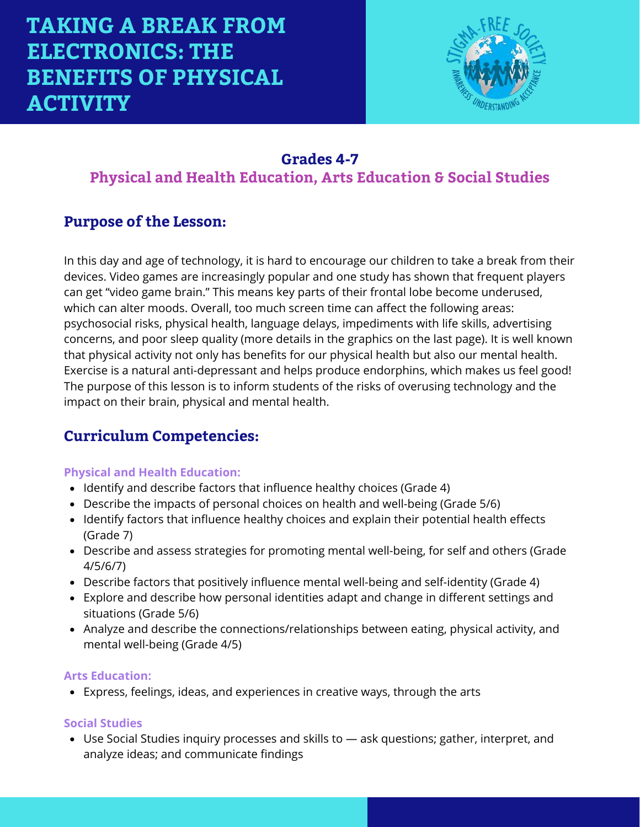

## **Grades 4-7 Physical and Health Education, Arts Education & Social Studies**

### **Purpose of the Lesson:**

In this day and age of technology, it is hard to encourage our children to take a break from their devices. Video games are increasingly popular and one study has shown that frequent players can get "video game brain." This means key parts of their frontal lobe become underused, which can alter moods. Overall, too much screen time can affect the following areas: psychosocial risks, physical health, language delays, impediments with life skills, advertising concerns, and poor sleep quality (more details in the graphics on the last page). It is well known that physical activity not only has benefits for our physical health but also our mental health. Exercise is a natural anti-depressant and helps produce endorphins, which makes us feel good! The purpose of this lesson is to inform students of the risks of overusing technology and the impact on their brain, physical and mental health.

### **Curriculum Competencies:**

#### **Physical and Health Education:**

- Identify and describe factors that influence healthy choices (Grade 4)
- Describe the impacts of personal choices on health and well-being (Grade 5/6)
- Identify factors that influence healthy choices and explain their potential health effects (Grade 7)
- Describe and assess strategies for promoting mental well-being, for self and others (Grade 4/5/6/7)
- Describe factors that positively influence mental well-being and self-identity (Grade 4)
- Explore and describe how personal identities adapt and change in different settings and situations (Grade 5/6)
- Analyze and describe the connections/relationships between eating, physical activity, and mental well-being (Grade 4/5)

#### **Arts Education:**

Express, feelings, ideas, and experiences in creative ways, through the arts

#### **Social Studies**

Use Social Studies inquiry processes and skills to — ask questions; gather, interpret, and analyze ideas; and communicate findings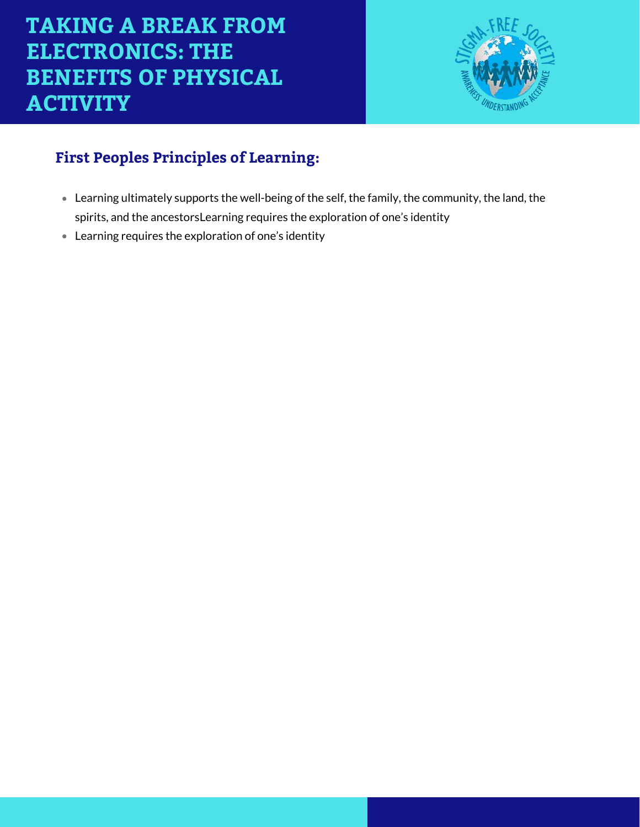

# **First Peoples Principles of Learning:**

- Learning ultimately supports the well-being of the self, the family, the community, the land, the spirits, and the ancestorsLearning requires the exploration of one's identity
- Learning requires the exploration of one's identity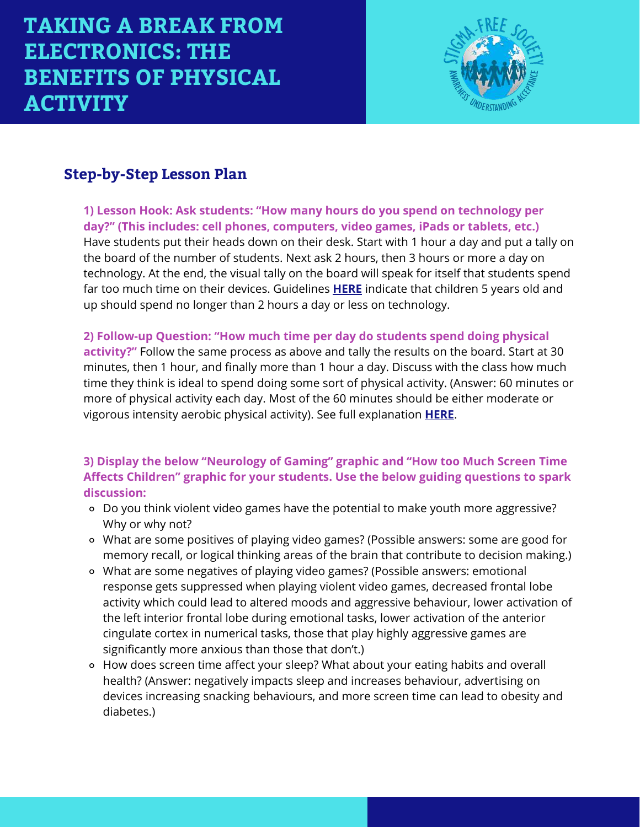

# **Step-by-Step Lesson Plan**

**1) Lesson Hook: Ask students: "How many hours do you spend on technology per day?" (This includes: cell phones, computers, video games, iPads or tablets, etc.)**  Have students put their heads down on their desk. Start with 1 hour a day and put a tally on the board of the number of students. Next ask 2 hours, then 3 hours or more a day on technology. At the end, the visual tally on the board will speak for itself that students spend far too much time on their devices. Guidelines **[HERE](https://www.healthyfamiliesbc.ca/home/articles/screen-time-and-obstacles-physical-activity-children)** indicate that children 5 years old and up should spend no longer than 2 hours a day or less on technology.

**2) Follow-up Question: "How much time per day do students spend doing physical activity?"** Follow the same process as above and tally the results on the board. Start at 30 minutes, then 1 hour, and finally more than 1 hour a day. Discuss with the class how much time they think is ideal to spend doing some sort of physical activity. (Answer: 60 minutes or more of physical activity each day. Most of the 60 minutes should be either moderate or vigorous intensity aerobic physical activity). See full explanation **[HERE](https://www.canada.ca/en/public-health/services/being-active/children-physical-activity.html)**.

#### **3) Display the below "Neurology of Gaming" graphic and "How too Much Screen Time Affects Children" graphic for your students. Use the below guiding questions to spark discussion:**

- Do you think violent video games have the potential to make youth more aggressive? Why or why not?
- What are some positives of playing video games? (Possible answers: some are good for memory recall, or logical thinking areas of the brain that contribute to decision making.)
- What are some negatives of playing video games? (Possible answers: emotional response gets suppressed when playing violent video games, decreased frontal lobe activity which could lead to altered moods and aggressive behaviour, lower activation of the left interior frontal lobe during emotional tasks, lower activation of the anterior cingulate cortex in numerical tasks, those that play highly aggressive games are significantly more anxious than those that don't.)
- How does screen time affect your sleep? What about your eating habits and overall health? (Answer: negatively impacts sleep and increases behaviour, advertising on devices increasing snacking behaviours, and more screen time can lead to obesity and diabetes.)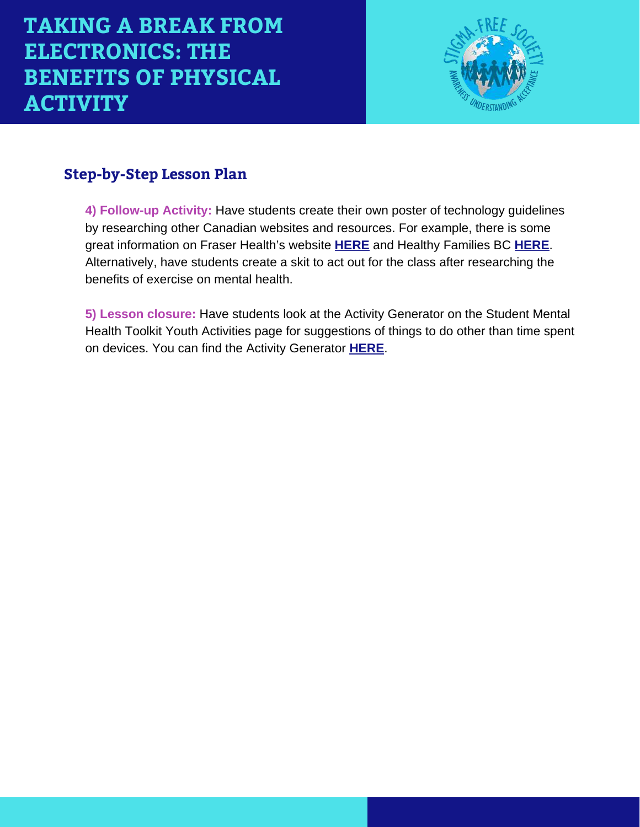

# **Step-by-Step Lesson Plan**

**4) Follow-up Activity:** Have students create their own poster of technology guidelines by researching other Canadian websites and resources. For example, there is some great information on Fraser Health's website **[HERE](https://www.fraserhealth.ca/health-topics-a-to-z/children-and-youth/physical-activity-for-children/screen-time-for-children#.X1u6AROpGgQ)** and Healthy Families BC **[HERE](https://www.healthyfamiliesbc.ca/home/articles/screen-time-and-obstacles-physical-activity-children)**. Alternatively, have students create a skit to act out for the class after researching the benefits of exercise on mental health.

**5) Lesson closure:** Have students look at the Activity Generator on the Student Mental Health Toolkit Youth Activities page for suggestions of things to do other than time spent on devices. You can find the Activity Generator **[HERE](https://studentmentalhealthtoolkit.com/youth-corner/youth-activities/)**.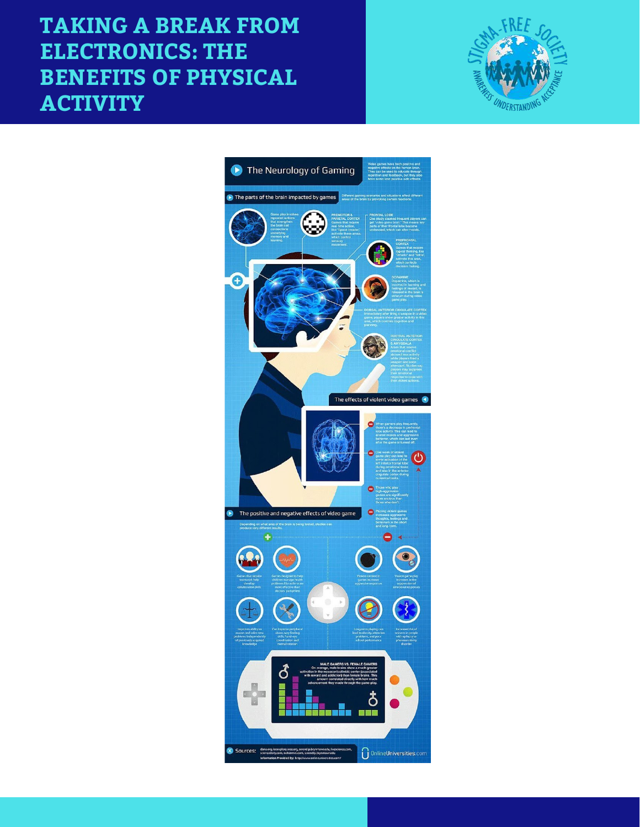